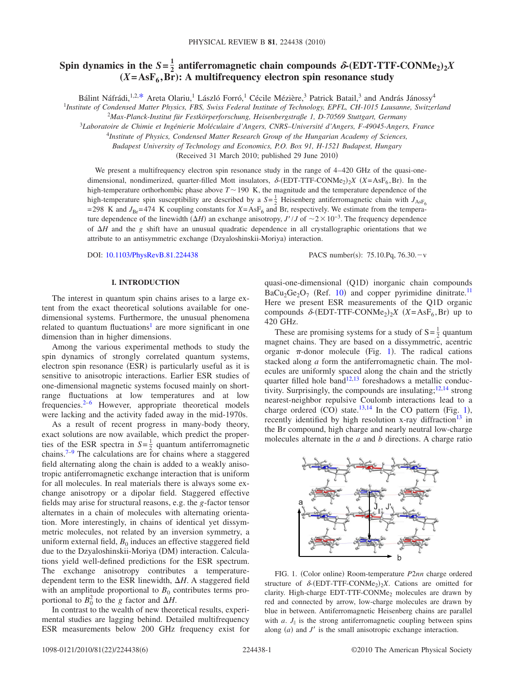# Spin dynamics in the  $S = \frac{1}{2}$  antiferromagnetic chain compounds  $\delta$ -(EDT-TTF-CONMe<sub>2</sub>)<sub>2</sub>*X*  $(X = AsF_6, Br)$ : A multifrequency electron spin resonance study

Bálint Náfrádi,<sup>1,2[,\\*](#page-5-0)</sup> Areta Olariu,<sup>1</sup> László Forró,<sup>1</sup> Cécile Mézière,<sup>3</sup> Patrick Batail,<sup>3</sup> and András Jánossy<sup>4</sup>

1 *Institute of Condensed Matter Physics, FBS, Swiss Federal Institute of Technology, EPFL, CH-1015 Lausanne, Switzerland*

2 *Max-Planck-Institut für Festkörperforschung, Heisenbergstraße 1, D-70569 Stuttgart, Germany*

3 *Laboratoire de Chimie et Ingénierie Moléculaire d'Angers, CNRS–Université d'Angers, F-49045-Angers, France*

<sup>4</sup>*Institute of Physics, Condensed Matter Research Group of the Hungarian Academy of Sciences,*

*Budapest University of Technology and Economics, P.O. Box 91, H-1521 Budapest, Hungary*

(Received 31 March 2010; published 29 June 2010)

We present a multifrequency electron spin resonance study in the range of 4–420 GHz of the quasi-onedimensional, nondimerized, quarter-filled Mott insulators,  $\delta$ -(EDT-TTF-CONMe<sub>2</sub>)<sub>2</sub>X (X=AsF<sub>6</sub>,Br). In the high-temperature orthorhombic phase above  $T \sim 190\,$  K, the magnitude and the temperature dependence of the high-temperature spin susceptibility are described by a  $S = \frac{1}{2}$  Heisenberg antiferromagnetic chain with  $J_{\text{AsF}_6}$ =298 K and  $J_{\text{Br}}$ =474 K coupling constants for  $X = \text{AsF}_6$  and Br, respectively. We estimate from the temperature dependence of the linewidth  $(\Delta H)$  an exchange anisotropy, *J'*/*J* of  $\sim$ 2 $\times$ 10<sup>-3</sup>. The frequency dependence of  $\Delta H$  and the *g* shift have an unusual quadratic dependence in all crystallographic orientations that we attribute to an antisymmetric exchange (Dzyaloshinskii-Moriya) interaction.

DOI: [10.1103/PhysRevB.81.224438](http://dx.doi.org/10.1103/PhysRevB.81.224438)

PACS number(s):  $75.10.Pq$ ,  $76.30.-v$ 

## **I. INTRODUCTION**

The interest in quantum spin chains arises to a large extent from the exact theoretical solutions available for onedimensional systems. Furthermore, the unusual phenomena related to quantum fluctuations<sup>1</sup> are more significant in one dimension than in higher dimensions.

Among the various experimental methods to study the spin dynamics of strongly correlated quantum systems, electron spin resonance (ESR) is particularly useful as it is sensitive to anisotropic interactions. Earlier ESR studies of one-dimensional magnetic systems focused mainly on shortrange fluctuations at low temperatures and at low frequencies. $2-6$  However, appropriate theoretical models were lacking and the activity faded away in the mid-1970s.

As a result of recent progress in many-body theory, exact solutions are now available, which predict the properties of the ESR spectra in  $S = \frac{1}{2}$  quantum antiferromagnetic chains.<sup> $7-9$ </sup> The calculations are for chains where a staggered field alternating along the chain is added to a weakly anisotropic antiferromagnetic exchange interaction that is uniform for all molecules. In real materials there is always some exchange anisotropy or a dipolar field. Staggered effective fields may arise for structural reasons, e.g. the *g*-factor tensor alternates in a chain of molecules with alternating orientation. More interestingly, in chains of identical yet dissymmetric molecules, not related by an inversion symmetry, a uniform external field,  $B_0$  induces an effective staggered field due to the Dzyaloshinskii-Moriya (DM) interaction. Calculations yield well-defined predictions for the ESR spectrum. The exchange anisotropy contributes a temperaturedependent term to the ESR linewidth,  $\Delta H$ . A staggered field with an amplitude proportional to  $B_0$  contributes terms proportional to  $B_0^2$  to the *g* factor and  $\Delta H$ .

In contrast to the wealth of new theoretical results, experimental studies are lagging behind. Detailed multifrequency ESR measurements below 200 GHz frequency exist for

quasi-one-dimensional (Q1D) inorganic chain compounds  $BaCu<sub>2</sub>Ge<sub>2</sub>O<sub>7</sub>$  (Ref. [10](#page-5-6)) and copper pyrimidine dinitrate.<sup>11</sup> Here we present ESR measurements of the Q1D organic compounds  $\delta$ -(EDT-TTF-CONMe<sub>2</sub>)<sub>2</sub>X (X=AsF<sub>6</sub>,Br) up to 420 GHz.

These are promising systems for a study of  $S = \frac{1}{2}$  quantum magnet chains. They are based on a dissymmetric, acentric organic  $\pi$ -donor molecule (Fig. [1](#page-0-0)). The radical cations stacked along *a* form the antiferromagnetic chain. The molecules are uniformly spaced along the chain and the strictly quarter filled hole band<sup>12,[13](#page-5-9)</sup> foreshadows a metallic conductivity. Surprisingly, the compounds are insulating;  $12,14$  $12,14$  strong nearest-neighbor repulsive Coulomb interactions lead to a charge ordered  $(CO)$  state.<sup>13[,14](#page-5-10)</sup> In the CO pattern (Fig. [1](#page-0-0)), recently identified by high resolution x-ray diffraction<sup>13</sup> in the Br compound, high charge and nearly neutral low-charge molecules alternate in the *a* and *b* directions. A charge ratio

<span id="page-0-0"></span>

FIG. 1. (Color online) Room-temperature P2nn charge ordered structure of  $\delta$ -(EDT-TTF-CONMe<sub>2</sub>)<sub>2</sub>X. Cations are omitted for clarity. High-charge EDT-TTF-CONMe $<sub>2</sub>$  molecules are drawn by</sub> red and connected by arrow, low-charge molecules are drawn by blue in between. Antiferromagnetic Heisenberg chains are parallel with  $a$ .  $J_{\parallel}$  is the strong antiferromagnetic coupling between spins along  $(a)$  and  $J'$  is the small anisotropic exchange interaction.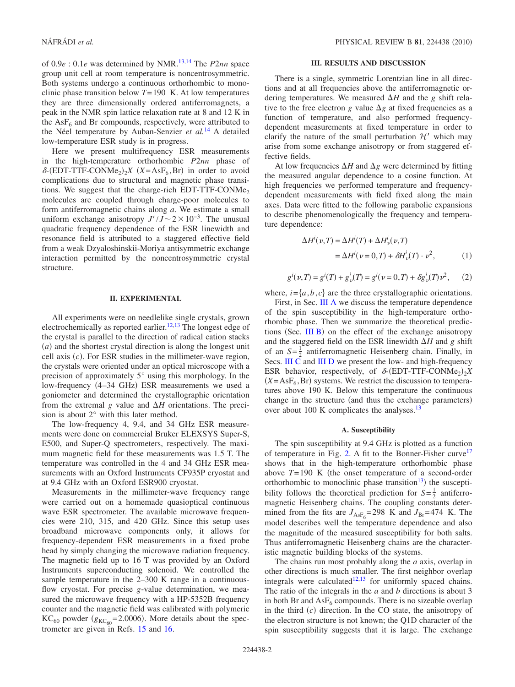of 0.9*e* : 0.1*e* was determined by NMR[.13,](#page-5-9)[14](#page-5-10) The *P*2*nn* space group unit cell at room temperature is noncentrosymmetric. Both systems undergo a continuous orthorhombic to monoclinic phase transition below *T*=190 K. At low temperatures they are three dimensionally ordered antiferromagnets, a peak in the NMR spin lattice relaxation rate at 8 and 12 K in the  $\text{AsF}_6$  and Br compounds, respectively, were attributed to the Néel temperature by Auban-Senzier *et al.*[14](#page-5-10) A detailed low-temperature ESR study is in progress.

Here we present multifrequency ESR measurements in the high-temperature orthorhombic *P*2*nn* phase of  $\delta$ -(EDT-TTF-CONMe<sub>2</sub>)<sub>2</sub>X (X=AsF<sub>6</sub>,Br) in order to avoid complications due to structural and magnetic phase transitions. We suggest that the charge-rich EDT-TTF-CONMe<sub>2</sub> molecules are coupled through charge-poor molecules to form antiferromagnetic chains along *a*. We estimate a small uniform exchange anisotropy  $J'/J \sim 2 \times 10^{-3}$ . The unusual quadratic frequency dependence of the ESR linewidth and resonance field is attributed to a staggered effective field from a weak Dzyaloshinskii-Moriya antisymmetric exchange interaction permitted by the noncentrosymmetric crystal structure.

#### **II. EXPERIMENTAL**

All experiments were on needlelike single crystals, grown electrochemically as reported earlier.<sup>12[,13](#page-5-9)</sup> The longest edge of the crystal is parallel to the direction of radical cation stacks (a) and the shortest crystal direction is along the longest unit cell axis  $(c)$ . For ESR studies in the millimeter-wave region, the crystals were oriented under an optical microscope with a precision of approximately 5° using this morphology. In the low-frequency (4-34 GHz) ESR measurements we used a goniometer and determined the crystallographic orientation from the extremal g value and  $\Delta H$  orientations. The precision is about 2° with this later method.

The low-frequency 4, 9.4, and 34 GHz ESR measurements were done on commercial Bruker ELEXSYS Super-S, E500, and Super-Q spectrometers, respectively. The maximum magnetic field for these measurements was 1.5 T. The temperature was controlled in the 4 and 34 GHz ESR measurements with an Oxford Instruments CF935P cryostat and at 9.4 GHz with an Oxford ESR900 cryostat.

Measurements in the millimeter-wave frequency range were carried out on a homemade quasioptical continuous wave ESR spectrometer. The available microwave frequencies were 210, 315, and 420 GHz. Since this setup uses broadband microwave components only, it allows for frequency-dependent ESR measurements in a fixed probe head by simply changing the microwave radiation frequency. The magnetic field up to 16 T was provided by an Oxford Instruments superconducting solenoid. We controlled the sample temperature in the 2–300 K range in a continuousflow cryostat. For precise *g*-value determination, we measured the microwave frequency with a HP-5352B frequency counter and the magnetic field was calibrated with polymeric  $KC_{60}$  powder ( $g_{KC_{60}}$ =2.0006). More details about the spectrometer are given in Refs. [15](#page-5-11) and [16.](#page-5-12)

### **III. RESULTS AND DISCUSSION**

There is a single, symmetric Lorentzian line in all directions and at all frequencies above the antiferromagnetic ordering temperatures. We measured  $\Delta H$  and the *g* shift relative to the free electron *g* value  $\Delta g$  at fixed frequencies as a function of temperature, and also performed frequencydependent measurements at fixed temperature in order to clarify the nature of the small perturbation  $\mathcal{H}'$  which may arise from some exchange anisotropy or from staggered effective fields.

At low frequencies  $\Delta H$  and  $\Delta g$  were determined by fitting the measured angular dependence to a cosine function. At high frequencies we performed temperature and frequencydependent measurements with field fixed along the main axes. Data were fitted to the following parabolic expansions to describe phenomenologically the frequency and temperature dependence:

<span id="page-1-1"></span>
$$
\Delta H^{i}(\nu, T) = \Delta H^{i}(T) + \Delta H^{i}_{\nu}(\nu, T)
$$
  
= 
$$
\Delta H^{i}(\nu = 0, T) + \delta H^{i}_{\nu}(T) \cdot \nu^{2},
$$
 (1)

<span id="page-1-2"></span>
$$
g^{i}(\nu, T) = g^{i}(T) + g^{i}_{\nu}(T) = g^{i}(\nu = 0, T) + \delta g^{i}_{\nu}(T)\nu^{2}, \quad (2)
$$

where,  $i = \{a, b, c\}$  are the three crystallographic orientations.

First, in Sec. [III A](#page-1-0) we discuss the temperature dependence of the spin susceptibility in the high-temperature orthorhombic phase. Then we summarize the theoretical predic-tions (Sec. [III B](#page-2-0)) on the effect of the exchange anisotropy and the staggered field on the ESR linewidth  $\Delta H$  and *g* shift of an  $S = \frac{1}{2}$  antiferromagnetic Heisenberg chain. Finally, in Secs. [III C](#page-2-1) and [III D](#page-3-0) we present the low- and high-frequency ESR behavior, respectively, of  $\delta$ -(EDT-TTF-CONMe<sub>2</sub>)<sub>2</sub>X  $(X = AsF_6, Br)$  systems. We restrict the discussion to temperatures above 190 K. Below this temperature the continuous change in the structure (and thus the exchange parameters) over about 100 K complicates the analyses.<sup>13</sup>

## **A. Susceptibility**

<span id="page-1-0"></span>The spin susceptibility at 9.4 GHz is plotted as a function of temperature in Fig. [2.](#page-2-2) A fit to the Bonner-Fisher curve<sup>17</sup> shows that in the high-temperature orthorhombic phase above  $T=190$  K (the onset temperature of a second-order orthorhombic to monoclinic phase transition<sup>13</sup>) the susceptibility follows the theoretical prediction for  $S = \frac{1}{2}$  antiferromagnetic Heisenberg chains. The coupling constants determined from the fits are  $J_{\text{AsF}_6}$ =298 K and  $J_{\text{Br}}$ =474 K. The model describes well the temperature dependence and also the magnitude of the measured susceptibility for both salts. Thus antiferromagnetic Heisenberg chains are the characteristic magnetic building blocks of the systems.

The chains run most probably along the *a* axis, overlap in other directions is much smaller. The first neighbor overlap integrals were calculated $12,13$  $12,13$  for uniformly spaced chains. The ratio of the integrals in the *a* and *b* directions is about 3 in both Br and  $\text{AsF}_6$  compounds. There is no sizeable overlap in the third  $(c)$  direction. In the CO state, the anisotropy of the electron structure is not known; the Q1D character of the spin susceptibility suggests that it is large. The exchange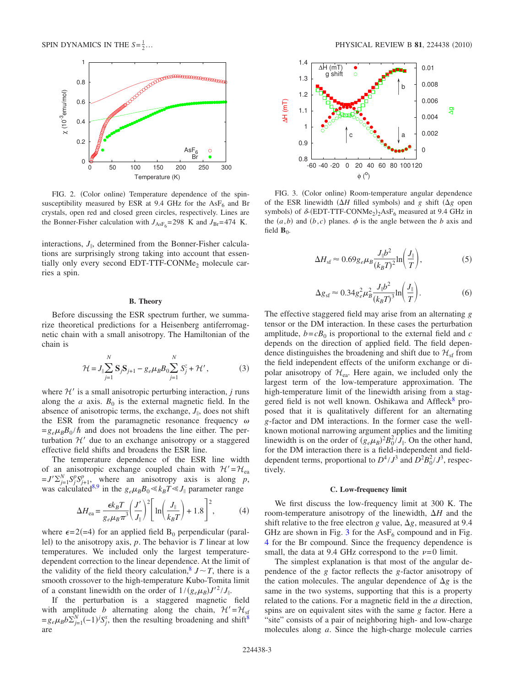<span id="page-2-2"></span>

FIG. 2. (Color online) Temperature dependence of the spinsusceptibility measured by ESR at 9.4 GHz for the  $\text{AsF}_6$  and Br crystals, open red and closed green circles, respectively. Lines are the Bonner-Fisher calculation with  $J_{\text{AsF}_6} = 298$  K and  $J_{\text{Br}} = 474$  K.

interactions,  $J_{\parallel}$ , determined from the Bonner-Fisher calculations are surprisingly strong taking into account that essentially only every second EDT-TTF-CONMe<sub>2</sub> molecule carries a spin.

#### **B. Theory**

<span id="page-2-0"></span>Before discussing the ESR spectrum further, we summarize theoretical predictions for a Heisenberg antiferromagnetic chain with a small anisotropy. The Hamiltonian of the chain is

$$
\mathcal{H} = J_{\parallel} \sum_{j=1}^{N} \mathbf{S}_{j} \mathbf{S}_{j+1} - g_{e} \mu_{B} B_{0} \sum_{j=1}^{N} S_{j}^{z} + \mathcal{H}', \tag{3}
$$

where  $\mathcal{H}'$  is a small anisotropic perturbing interaction,  $j$  runs along the *a* axis.  $B_0$  is the external magnetic field. In the absence of anisotropic terms, the exchange,  $J_{\parallel}$ , does not shift the ESR from the paramagnetic resonance frequency  $\omega$  $=g_e\mu_B B_0 / \hbar$  and does not broadens the line either. The perturbation  $H'$  due to an exchange anisotropy or a staggered effective field shifts and broadens the ESR line.

The temperature dependence of the ESR line width of an anisotropic exchange coupled chain with  $\mathcal{H}'=\mathcal{H}_{\text{ea}}$  $= J' \sum_{j=1}^{N} S_j^p S_{j+1}^p$ , where an anisotropy axis is along *p*, was calculated<sup>8[,9](#page-5-5)</sup> in the  $g_e\mu_B B_0 \ll k_B T \ll J_{\parallel}$  parameter range

$$
\Delta H_{\text{ea}} = \frac{\epsilon k_B T}{g_e \mu_B \pi^3} \left(\frac{J'}{J_{\parallel}}\right)^2 \left[\ln\left(\frac{J_{\parallel}}{k_B T}\right) + 1.8\right]^2,\tag{4}
$$

<span id="page-2-4"></span>where  $\epsilon = 2(-4)$  for an applied field B<sub>0</sub> perpendicular (parallel) to the anisotropy axis,  $p$ . The behavior is  $T$  linear at low temperatures. We included only the largest temperaturedependent correction to the linear dependence. At the limit of the validity of the field theory calculation,<sup>8</sup>  $J \sim T$ , there is a smooth crossover to the high-temperature Kubo-Tomita limit of a constant linewidth on the order of  $1/(g_e\mu_B)J'^2/J_{\parallel}$ .

If the perturbation is a staggered magnetic field with amplitude *b* alternating along the chain,  $H' = H_{sf}$  $=g_e\mu_B b \Sigma_{j=1}^N(-1)^j S_j^x$ , then the resulting broadening and shift<sup>8</sup> are

<span id="page-2-3"></span>

FIG. 3. (Color online) Room-temperature angular dependence of the ESR linewidth  $(\Delta H)$  filled symbols) and *g* shift  $(\Delta g)$  open symbols) of  $\delta$ -(EDT-TTF-CONMe<sub>2</sub>)<sub>2</sub>AsF<sub>6</sub> measured at 9.4 GHz in the  $(a,b)$  and  $(b,c)$  planes.  $\phi$  is the angle between the *b* axis and field  $\mathbf{B}_0$ .

<span id="page-2-5"></span>
$$
\Delta H_{\rm sf} \approx 0.69 g_e \mu_B \frac{J_{\parallel} b^2}{(k_B T)^2} \ln \left( \frac{J_{\parallel}}{T} \right),\tag{5}
$$

$$
\Delta g_{\rm sf} \approx 0.34 g_e^2 \mu_B^2 \frac{J_{\parallel} b^2}{(k_B T)^3} \ln \left( \frac{J_{\parallel}}{T} \right). \tag{6}
$$

<span id="page-2-6"></span>The effective staggered field may arise from an alternating *g* tensor or the DM interaction. In these cases the perturbation amplitude,  $b = cB_0$  is proportional to the external field and  $c$ depends on the direction of applied field. The field dependence distinguishes the broadening and shift due to  $\mathcal{H}_{\text{sf}}$  from the field independent effects of the uniform exchange or dipolar anisotropy of  $\mathcal{H}_{\rm ea}$ . Here again, we included only the largest term of the low-temperature approximation. The high-temperature limit of the linewidth arising from a staggered field is not well known. Oshikawa and  $Affleck^8$  proposed that it is qualitatively different for an alternating *g*-factor and DM interactions. In the former case the wellknown motional narrowing argument applies and the limiting linewidth is on the order of  $(g_e\mu_B)^2 B_0^2/\bar{J}_{\parallel}$ . On the other hand, for the DM interaction there is a field-independent and fielddependent terms, proportional to  $D^4/J^3$  and  $D^2B_0^2/J^3$ , respectively.

#### **C. Low-frequency limit**

<span id="page-2-1"></span>We first discuss the low-frequency limit at 300 K. The room-temperature anisotropy of the linewidth,  $\Delta H$  and the shift relative to the free electron *g* value,  $\Delta g$ , measured at 9.4 GHz are shown in Fig. [3](#page-2-3) for the  $\text{AsF}_6$  compound and in Fig. [4](#page-3-1) for the Br compound. Since the frequency dependence is small, the data at 9.4 GHz correspond to the  $\nu=0$  limit.

The simplest explanation is that most of the angular dependence of the *g* factor reflects the *g*-factor anisotropy of the cation molecules. The angular dependence of  $\Delta g$  is the same in the two systems, supporting that this is a property related to the cations. For a magnetic field in the *a* direction, spins are on equivalent sites with the same *g* factor. Here a "site" consists of a pair of neighboring high- and low-charge molecules along *a*. Since the high-charge molecule carries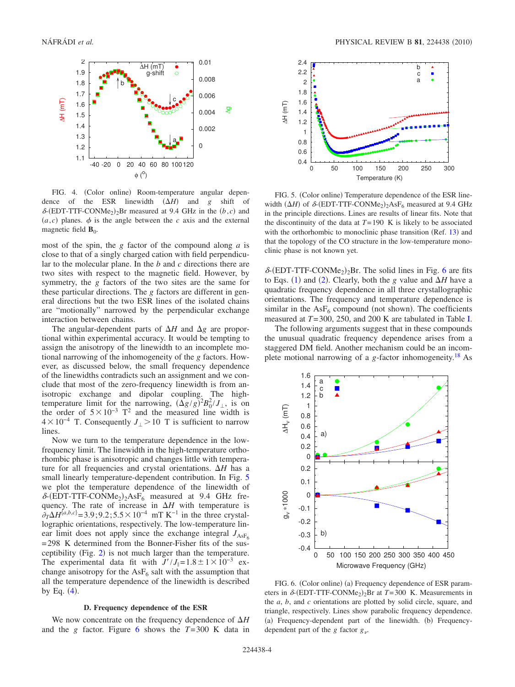<span id="page-3-1"></span>

FIG. 4. (Color online) Room-temperature angular dependence of the ESR linewidth  $(\Delta H)$  and *g* shift of  $\delta$ -(EDT-TTF-CONMe<sub>2</sub>)<sub>2</sub>Br measured at 9.4 GHz in the *(b,c)* and  $(a, c)$  planes.  $\phi$  is the angle between the *c* axis and the external magnetic field  $\mathbf{B}_0$ .

most of the spin, the *g* factor of the compound along *a* is close to that of a singly charged cation with field perpendicular to the molecular plane. In the *b* and *c* directions there are two sites with respect to the magnetic field. However, by symmetry, the *g* factors of the two sites are the same for these particular directions. The *g* factors are different in general directions but the two ESR lines of the isolated chains are "motionally" narrowed by the perpendicular exchange interaction between chains.

The angular-dependent parts of  $\Delta H$  and  $\Delta g$  are proportional within experimental accuracy. It would be tempting to assign the anisotropy of the linewidth to an incomplete motional narrowing of the inhomogeneity of the *g* factors. However, as discussed below, the small frequency dependence of the linewidths contradicts such an assignment and we conclude that most of the zero-frequency linewidth is from anisotropic exchange and dipolar coupling. The hightemperature limit for the narrowing,  $(\Delta g/g)^2 B_0^2/J_{\perp}$ , is on the order of  $5\times10^{-3}$  T<sup>2</sup> and the measured line width is  $4 \times 10^{-4}$  T. Consequently *J* | > 10 T is sufficient to narrow lines.

Now we turn to the temperature dependence in the lowfrequency limit. The linewidth in the high-temperature orthorhombic phase is anisotropic and changes little with temperature for all frequencies and crystal orientations.  $\Delta H$  has a small linearly temperature-dependent contribution. In Fig. [5](#page-3-2) we plot the temperature dependence of the linewidth of  $\delta$ -(EDT-TTF-CONMe<sub>2</sub>)<sub>2</sub>AsF<sub>6</sub> measured at 9.4 GHz frequency. The rate of increase in  $\Delta H$  with temperature is  $\partial_T \Delta H^{\{a,b,c\}} = 3.9; 9.2; 5.5 \times 10^{-4}$  mT K<sup>-1</sup> in the three crystallographic orientations, respectively. The low-temperature linear limit does not apply since the exchange integral  $J_{\text{ASF}_6}$ =298 K determined from the Bonner-Fisher fits of the susceptibility (Fig.  $2$ ) is not much larger than the temperature. The experimental data fit with  $J'/J_{\parallel}=1.8\pm1\times10^{-3}$  exchange anisotropy for the  $\text{AsF}_6$  salt with the assumption that all the temperature dependence of the linewidth is described by Eq.  $(4)$  $(4)$  $(4)$ .

#### **D. Frequency dependence of the ESR**

<span id="page-3-0"></span>We now concentrate on the frequency dependence of  $\Delta H$ and the *g* factor. Figure [6](#page-3-3) shows the  $T=300$  K data in

<span id="page-3-2"></span>

FIG. 5. (Color online) Temperature dependence of the ESR linewidth  $(\Delta H)$  of  $\delta$ -(EDT-TTF-CONMe<sub>2</sub>)<sub>2</sub>AsF<sub>6</sub> measured at 9.4 GHz in the principle directions. Lines are results of linear fits. Note that the discontinuity of the data at  $T=190$  K is likely to be associated with the orthorhombic to monoclinic phase transition  $(Ref. 13)$  $(Ref. 13)$  $(Ref. 13)$  and that the topology of the CO structure in the low-temperature monoclinic phase is not known yet.

 $\delta$ -(EDT-TTF-CONMe<sub>2</sub>)<sub>2</sub>Br. The solid lines in Fig. [6](#page-3-3) are fits to Eqs. ([1](#page-1-1)) and ([2](#page-1-2)). Clearly, both the *g* value and  $\Delta H$  have a quadratic frequency dependence in all three crystallographic orientations. The frequency and temperature dependence is similar in the  $\text{AsF}_6$  compound (not shown). The coefficients measured at *T*=300, 250, and 200 K are tabulated in Table [I.](#page-4-0)

The following arguments suggest that in these compounds the unusual quadratic frequency dependence arises from a staggered DM field. Another mechanism could be an incomplete motional narrowing of a *g*-factor inhomogeneity[.18](#page-5-15) As

<span id="page-3-3"></span>

FIG. 6. (Color online) (a) Frequency dependence of ESR parameters in  $\delta$ -(EDT-TTF-CONMe<sub>2</sub>)<sub>2</sub>Br at *T*=300 K. Measurements in the *a*, *b*, and *c* orientations are plotted by solid circle, square, and triangle, respectively. Lines show parabolic frequency dependence. (a) Frequency-dependent part of the linewidth. (b) Frequencydependent part of the *g* factor *g*.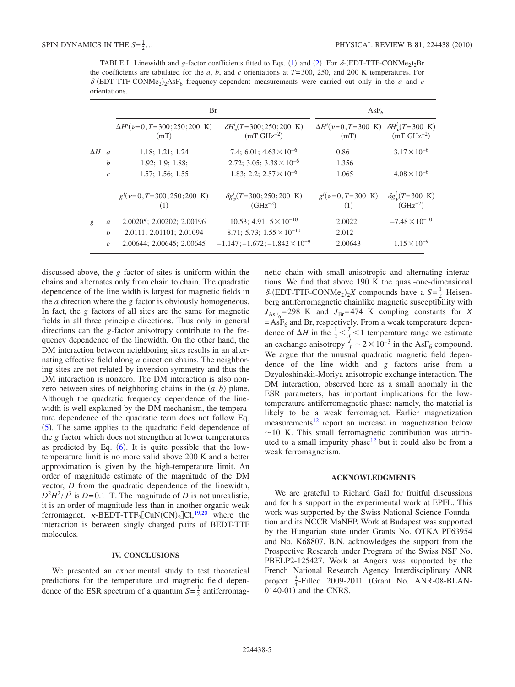<span id="page-4-0"></span>TABLE I. Linewidth and *g*-factor coefficients fitted to Eqs. ([1](#page-1-1)) and ([2](#page-1-2)). For  $\delta$ -(EDT-TTF-CONMe<sub>2</sub>)<sub>2</sub>Br the coefficients are tabulated for the *a*, *b*, and *c* orientations at *T*=300, 250, and 200 K temperatures. For  $\delta$ -(EDT-TTF-CONMe<sub>2</sub>)<sub>2</sub>AsF<sub>6</sub> frequency-dependent measurements were carried out only in the *a* and *c* orientations.

|              |                  | Br                                                       |                                                              | $AsF_6$                                        |                                                       |
|--------------|------------------|----------------------------------------------------------|--------------------------------------------------------------|------------------------------------------------|-------------------------------------------------------|
|              |                  | $\Delta H^{i}(\nu=0, T=300; 250; 200 \text{ K})$<br>(mT) | $\delta H_v^i(T=300; 250; 200 \text{ K})$<br>$(mT GHz^{-2})$ | $\Delta H^{i}(\nu=0, T=300 \text{ K})$<br>(mT) | $\delta H_v^i(T=300 \text{ K})$<br>$(mT GHz^{-2})$    |
| $\Delta H$ a |                  | 1.18; 1.21; 1.24                                         | 7.4; 6.01; $4.63 \times 10^{-6}$                             | 0.86                                           | $3.17 \times 10^{-6}$                                 |
|              | $\boldsymbol{b}$ | 1.92; 1.9; 1.88;                                         | 2.72; 3.05; $3.38 \times 10^{-6}$                            | 1.356                                          |                                                       |
|              | $\mathcal{C}$    | 1.57; 1.56; 1.55                                         | 1.83; 2.2; $2.57 \times 10^{-6}$                             | 1.065                                          | $4.08 \times 10^{-6}$                                 |
|              |                  | $g'(\nu=0, T=300; 250; 200 \text{ K})$<br>(1)            | $\delta g_{\nu}^{i}(T=300;250;200~\text{K})$<br>$(GHz^{-2})$ | $g^{i}(\nu=0, T=300 \text{ K})$<br>(1)         | $\delta g_{\nu}^{l}(T=300 \text{ K})$<br>$(GHz^{-2})$ |
| g            | a                | 2.00205; 2.00202; 2.00196                                | 10.53; 4.91; $5 \times 10^{-10}$                             | 2.0022                                         | $-7.48 \times 10^{-10}$                               |
|              | $\boldsymbol{b}$ | 2.0111; 2.01101; 2.01094                                 | 8.71; 5.73; $1.55 \times 10^{-10}$                           | 2.012                                          |                                                       |
|              | $\mathcal{C}$    | 2.00644; 2.00645; 2.00645                                | $-1.147; -1.672; -1.842 \times 10^{-9}$                      | 2.00643                                        | $1.15 \times 10^{-9}$                                 |

discussed above, the *g* factor of sites is uniform within the chains and alternates only from chain to chain. The quadratic dependence of the line width is largest for magnetic fields in the *a* direction where the *g* factor is obviously homogeneous. In fact, the *g* factors of all sites are the same for magnetic fields in all three principle directions. Thus only in general directions can the *g*-factor anisotropy contribute to the frequency dependence of the linewidth. On the other hand, the DM interaction between neighboring sites results in an alternating effective field along *a* direction chains. The neighboring sites are not related by inversion symmetry and thus the DM interaction is nonzero. The DM interaction is also nonzero between sites of neighboring chains in the  $(a, b)$  plane. Although the quadratic frequency dependence of the linewidth is well explained by the DM mechanism, the temperature dependence of the quadratic term does not follow Eq.  $(5)$  $(5)$  $(5)$ . The same applies to the quadratic field dependence of the *g* factor which does not strengthen at lower temperatures as predicted by Eq.  $(6)$  $(6)$  $(6)$ . It is quite possible that the lowtemperature limit is no more valid above 200 K and a better approximation is given by the high-temperature limit. An order of magnitude estimate of the magnitude of the DM vector, *D* from the quadratic dependence of the linewidth,  $D^2H^2/J^3$  is  $D=0.1$  T. The magnitude of *D* is not unrealistic, it is an order of magnitude less than in another organic weak ferromagnet,  $\kappa$ -BEDT-TTF<sub>2</sub>[CuN(CN)<sub>2</sub>]Cl,<sup>19[,20](#page-5-17)</sup> where the interaction is between singly charged pairs of BEDT-TTF molecules.

## **IV. CONCLUSIONS**

We presented an experimental study to test theoretical predictions for the temperature and magnetic field dependence of the ESR spectrum of a quantum  $S = \frac{1}{2}$  antiferromagnetic chain with small anisotropic and alternating interactions. We find that above 190 K the quasi-one-dimensional  $\delta$ -(EDT-TTF-CONMe<sub>2</sub>)<sub>2</sub>X compounds have a  $S = \frac{1}{2}$  Heisenberg antiferromagnetic chainlike magnetic susceptibility with  $J_{\text{AsF}_6}$ =298 K and  $J_{\text{Br}}$ =474 K coupling constants for *X*  $=AsF<sub>6</sub>$  and Br, respectively. From a weak temperature dependence of  $\Delta H$  in the  $\frac{1}{2} < \frac{T}{J_{\nu}} < 1$  temperature range we estimate an exchange anisotropy  $\frac{J'}{J_{\parallel}}$  ~ 2 × 10<sup>-3</sup> in the AsF<sub>6</sub> compound. We argue that the unusual quadratic magnetic field dependence of the line width and *g* factors arise from a Dzyaloshinskii-Moriya anisotropic exchange interaction. The DM interaction, observed here as a small anomaly in the ESR parameters, has important implications for the lowtemperature antiferromagnetic phase: namely, the material is likely to be a weak ferromagnet. Earlier magnetization measurements<sup>12</sup> report an increase in magnetization below  $\sim$  10 K. This small ferromagnetic contribution was attributed to a small impurity phase $12$  but it could also be from a weak ferromagnetism.

## **ACKNOWLEDGMENTS**

We are grateful to Richard Gaál for fruitful discussions and for his support in the experimental work at EPFL. This work was supported by the Swiss National Science Foundation and its NCCR MaNEP. Work at Budapest was supported by the Hungarian state under Grants No. OTKA PF63954 and No. K68807. B.N. acknowledges the support from the Prospective Research under Program of the Swiss NSF No. PBELP2-125427. Work at Angers was supported by the French National Research Agency Interdisciplinary ANR project  $\frac{3}{4}$ -Filled 2009-2011 (Grant No. ANR-08-BLAN- $0140-01$ ) and the CNRS.